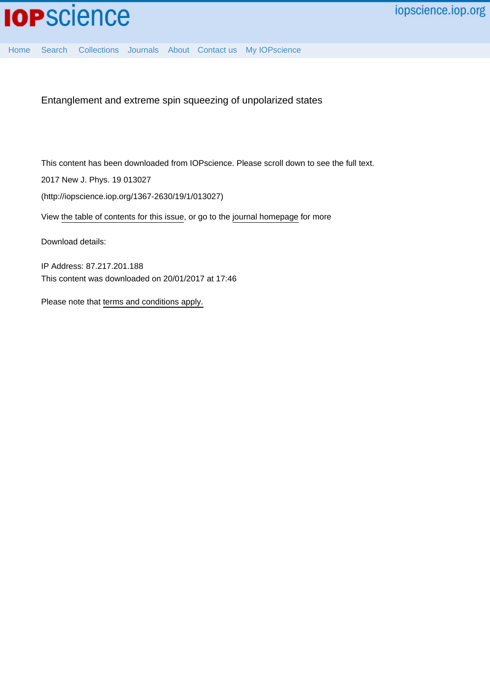Entanglement and extreme spin squeezing of unpolarized states

This content has been downloaded from IOPscience. Please scroll down to see the full text.

2017 New J. Phys. 19 013027

(http://iopscience.iop.org/1367-2630/19/1/013027)

View [the table of contents for this issue](http://iopscience.iop.org/1367-2630/19/1), or go to the [journal homepage](http://iopscience.iop.org/1367-2630) for more

Download details:

IP Address: 87.217.201.188 This content was downloaded on 20/01/2017 at 17:46

Please note that [terms and conditions apply.](http://iopscience.iop.org/page/terms)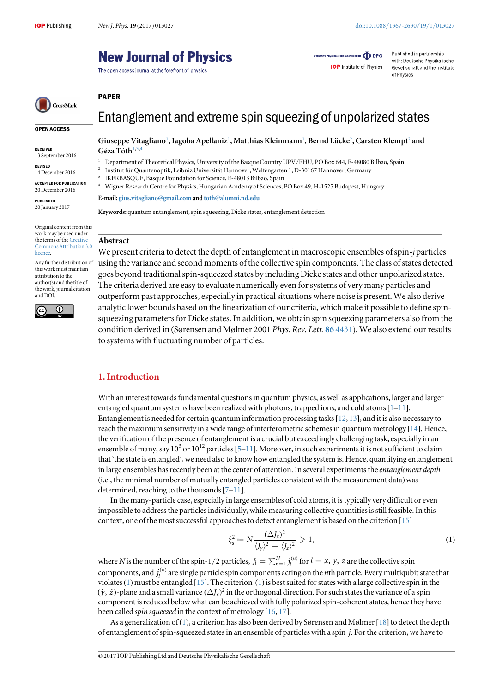## **New Journal of Physics**

The open access journal at the forefront of physics

Deutsche Physikalische Gesellschaft **ODPG IOP** Institute of Physics

Published in partnership with: Deutsche Physikalische Gesellschaft and the Institute of Physics

# CrossMark

Original content from this work may be used under the terms of the [Creative](http://creativecommons.org/licenses/by/3.0)

Any further distribution of this work must maintain attribution to the author(s) and the title of the work, journal citation

 $\overline{0}$ 

OPEN ACCESS

RECEIVED 13 September 2016

REVISED 14 December 2016 ACCEPTED FOR PUBLICATION 20 December 2016 PUBLISHED 20 January 2017

[licence.](http://creativecommons.org/licenses/by/3.0)

and DOI.

(cc

## Entanglement and extreme spin squeezing of unpolarized states

Giuseppe Vitagliano<sup>[1](#page-1-0)</sup>, Iagoba Apellaniz<sup>1</sup>, Matthias Kleinmann<sup>1</sup>, Bernd Lücke<sup>[2](#page-1-1)</sup>, Carsten Klempt<sup>2</sup> and Géza Tóth $1,3,4$  $1,3,4$  $1,3,4$ 

- <span id="page-1-0"></span><sup>1</sup> Department of Theoretical Physics, University of the Basque Country UPV/EHU, PO Box 644, E-48080 Bilbao, Spain<br><sup>2</sup> Institut für Quantenontik Leibniz Universität Hannover, Welfengarten L.D. 30167 Hannover, Cermany
- <span id="page-1-2"></span><span id="page-1-1"></span><sup>2</sup> Institut für Quantenoptik, Leibniz Universität Hannover, Welfengarten 1, D-30167 Hannover, Germany
- <sup>3</sup> IKERBASQUE, Basque Foundation for Science, E-48013 Bilbao, Spain<br><sup>4</sup> Migner Research Centre for Physics, Hungarian Asedemy of Sciences
- <span id="page-1-3"></span><sup>4</sup> Wigner Research Centre for Physics, Hungarian Academy of Sciences, PO Box 49, H-1525 Budapest, Hungary

E-mail: [gius.vitagliano@gmail.com](mailto:gius.vitagliano@gmail.com) and [toth@alumni.nd.edu](mailto:toth@alumni.nd.edu)

Keywords: quantum entanglement, spin squeezing, Dicke states, entanglement detection

#### Abstract [Commons Attribution 3.0](http://creativecommons.org/licenses/by/3.0)

PAPER

We present criteria to detect the depth of entanglement in macroscopic ensembles of spin-j particles using the variance and second moments of the collective spin components. The class of states detected goes beyond traditional spin-squeezed states by including Dicke states and other unpolarized states. The criteria derived are easy to evaluate numerically even for systems of very many particles and outperform past approaches, especially in practical situations where noise is present. We also derive analytic lower bounds based on the linearization of our criteria, which make it possible to define spinsqueezing parameters for Dicke states. In addition, we obtain spin squeezing parameters also from the condition derived in (Sørensen and Mølmer 2001 Phys. Rev. Lett. 86 [4431](https://doi.org/10.1103/physrevlett.86.4431)). We also extend our results to systems with fluctuating number of particles.

## 1. Introduction

With an interest towards fundamental questions in quantum physics, as well as applications, larger and larger entangled quantum systems have been realized with photons, trapped ions, and cold atoms  $[1-11]$  $[1-11]$  $[1-11]$  $[1-11]$  $[1-11]$ . Entanglement is needed for certain quantum information processing tasks[[12](#page-11-1), [13](#page-11-2)], and it is also necessary to reach the maximum sensitivity in a wide range of interferometric schemes in quantum metrology [[14](#page-11-3)]. Hence, the verification of the presence of entanglement is a crucial but exceedingly challenging task, especially in an ensemble of many, say  $10^3$  or  $10^{12}$  particles [[5](#page-10-1)–[11](#page-11-0)]. Moreover, in such experiments it is not sufficient to claim that 'the state is entangled', we need also to know how entangled the system is. Hence, quantifying entanglement in large ensembles has recently been at the center of attention. In several experiments the *entanglement depth* (i.e., the minimal number of mutually entangled particles consistent with the measurement data)was determined, reaching to the thousands [[7](#page-11-4)–[11](#page-11-0)].

<span id="page-1-4"></span>In the many-particle case, especially in large ensembles of cold atoms, it is typically very difficult or even impossible to address the particles individually, while measuring collective quantities is still feasible. In this context, one of the most successful approaches to detect entanglement is based on the criterion [[15](#page-11-5)]

$$
\xi_s^2 \coloneqq N \frac{(\Delta J_x)^2}{\langle J_y \rangle^2 + \langle J_z \rangle^2} \geqslant 1,\tag{1}
$$

where N is the number of the spin-1/2 particles,  $J_l = \sum_{n=1}^{N} j_l^{(n)}$  for  $l = x, y, z$  are the collective spin components, and  $j_l^{(n)}$  are single particle spin components acting on the *n*th particle. Every multiqubit state that violates ([1](#page-1-4)) must be entangled [[15](#page-11-5)]. The criterion (1) is best suited for states with a large collective spin in the  $(\hat{y}, \hat{z})$ -plane and a small variance  $(\Delta J_x)^2$  in the orthogonal direction. For such states the variance of a spin component is reduced below what can be achieved with fully polarized spin-coherent states, hence they have been called *spin squeezed* in the context of metrology [[16,](#page-11-6) [17](#page-11-7)].

As a generalization of ([1](#page-1-4)), a criterion has also been derived by Sørensen and Mølmer [[18](#page-11-8)] to detect the depth of entanglement of spin-squeezed states in an ensemble of particles with a spin *j*. For the criterion, we have to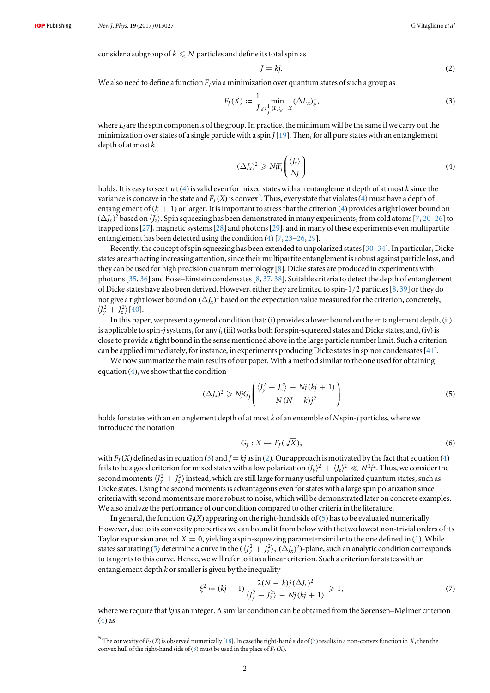<span id="page-2-3"></span>consider a subgroup of  $k \leq N$  particles and define its total spin as

$$
J = kj.
$$
 (2)

<span id="page-2-2"></span>We also need to define a function  $F<sub>I</sub>$  via a minimization over quantum states of such a group as

$$
F_J(X) := \frac{1}{J} \min_{Q: \frac{1}{J} \langle L_z \rangle_{\rho} = X} (\Delta L_x)_{\rho}^2,
$$
\n(3)

<span id="page-2-0"></span>where  $L_l$  are the spin components of the group. In practice, the minimum will be the same if we carry out the minimization over states of a single particle with a spin  $J[19]$  $J[19]$  $J[19]$ . Then, for all pure states with an entanglement depth of at most k

$$
(\Delta J_x)^2 \geqslant NjF_j\left(\frac{\langle J_z\rangle}{Nj}\right) \tag{4}
$$

holds. It is easy to see that  $(4)$  $(4)$  $(4)$  is valid even for mixed states with an entanglement depth of at most k since the variance is concave in the state and  $F_J(X)$  is convex<sup>[5](#page-2-1)</sup>. Thus, every state that violates ([4](#page-2-0)) must have a depth of entanglement of  $(k + 1)$  or larger. It is important to stress that the criterion  $(4)$  $(4)$  $(4)$  provides a tight lower bound on  $(\Delta J_x)^2$  based on  $\langle J_z \rangle$ . Spin squeezing has been demonstrated in many experiments, from cold atoms [[7,](#page-11-4) [20](#page-11-10)–[26](#page-11-11)] to trapped ions[[27](#page-11-12)], magnetic systems[[28](#page-11-13)] and photons[[29](#page-11-14)], and in many of these experiments even multipartite entanglement has been detected using the condition ([4](#page-2-0)) [[7](#page-11-4), [23](#page-11-15)–[26](#page-11-11), [29](#page-11-14)].

Recently, the concept of spin squeezing has been extended to unpolarized states[[30](#page-11-16)–[34](#page-11-17)]. In particular, Dicke states are attracting increasing attention, since their multipartite entanglement is robust against particle loss, and they can be used for high precision quantum metrology [[8](#page-11-18)]. Dicke states are produced in experiments with photons[[35](#page-11-19), [36](#page-11-20)] and Bose–Einstein condensates[[8,](#page-11-18) [37](#page-11-21), [38](#page-11-22)]. Suitable criteria to detect the depth of entanglement of Dicke states have also been derived. However, either they are limited to spin-1/2 particles[[8,](#page-11-18) [39](#page-11-23)] or they do not give a tight lower bound on  $(\Delta J_x)^2$  based on the expectation value measured for the criterion, concretely,  $\langle J_y^2 + J_z^2 \rangle$  [[40](#page-11-24)].

In this paper, we present a general condition that: (i) provides a lower bound on the entanglement depth, (ii) is applicable to spin-j systems, for any  $j$ , (iii) works both for spin-squeezed states and Dicke states, and, (iv) is close to provide a tight bound in the sense mentioned above in the large particle number limit. Such a criterion can be applied immediately, for instance, in experiments producing Dicke states in spinor condensates[[41](#page-11-25)].

<span id="page-2-4"></span>We now summarize the main results of our paper. With a method similar to the one used for obtaining equation  $(4)$  $(4)$  $(4)$ , we show that the condition

$$
(\Delta J_x)^2 \geqslant NjG_J\left(\frac{\langle J_y^2 + J_z^2 \rangle - Nj(kj+1)}{N(N-k)j^2}\right) \tag{5}
$$

<span id="page-2-6"></span>holds for states with an entanglement depth of at most k of an ensemble of N spin-j particles, where we introduced the notation

$$
G_J: X \mapsto F_J(\sqrt{X}), \tag{6}
$$

with  $F<sub>I</sub>(X)$  defined as in equation ([3](#page-2-2)) and  $J = kj$  as in ([2](#page-2-3)). Our approach is motivated by the fact that equation ([4](#page-2-0)) fails to be a good criterion for mixed states with a low polarization  $\langle J_v\rangle^2 + \langle J_z\rangle^2 \ll N^2 j^2$ . Thus, we consider the second moments  $\langle J_y^2+J_z^2\rangle$  instead, which are still large for many useful unpolarized quantum states, such as Dicke states. Using the second moments is advantageous even for states with a large spin polarization since criteria with second moments are more robust to noise, which will be demonstrated later on concrete examples. We also analyze the performance of our condition compared to other criteria in the literature.

<span id="page-2-7"></span>In general, the function  $G_l(X)$  appearing on the right-hand side of ([5](#page-2-4)) has to be evaluated numerically. However, due to its convexity properties we can bound it from below with the two lowest non-trivial orders of its Taylor expansion around  $X = 0$ , yielding a spin-squeezing parameter similar to the one defined in ([1](#page-1-4)). While states saturating ([5](#page-2-4)) determine a curve in the  $(\sqrt{J_y^2 + J_z^2})$ ,  $(\Delta J_x)^2$ )-plane, such an analytic condition corresponds to tangents to this curve. Hence, we will refer to it as a linear criterion. Such a criterion for states with an entanglement depth  $k$  or smaller is given by the inequality

$$
\xi^2 := (kj+1)\frac{2(N-k)j(\Delta J_x)^2}{\langle J_y^2 + J_z^2 \rangle - Nj(kj+1)} \ge 1,
$$
\n(7)

<span id="page-2-5"></span>where we require that kj is an integer. A similar condition can be obtained from the Sørensen–Mølmer criterion  $(4)$  $(4)$  $(4)$  as

<span id="page-2-1"></span> $5$  The convexity of  $F_J$  (*X*) is observed numerically [[18](#page-11-8)]. In case the right-hand side of ([3](#page-2-2)) results in a non-convex function in *X*, then the convex hull of the right-hand side of ([3](#page-2-2)) must be used in the place of  $F_I(X)$ .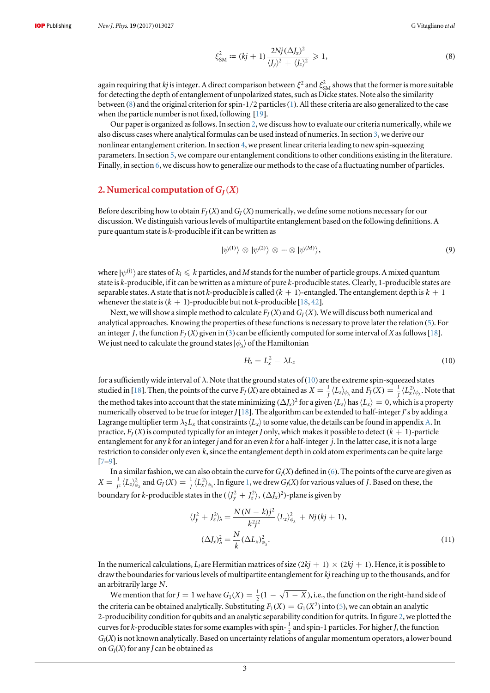$$
\xi_{\rm SM}^2 := (kj+1) \frac{2Nj(\Delta J_x)^2}{\langle J_y \rangle^2 + \langle J_z \rangle^2} \geq 1,\tag{8}
$$

again requiring that kj is integer. A direct comparison between  $\xi^2$  and  $\xi^2_{SM}$  shows that the former is more suitable for detecting the depth of entanglement of unpolarized states, such as Dicke states. Note also the similarity between ([8](#page-2-5)) and the original criterion for spin-1/2 particles([1](#page-1-4)). All these criteria are also generalized to the case when the particle number is not fixed, following [[19](#page-11-9)].

Our paper is organized as follows. In section [2](#page-3-0), we discuss how to evaluate our criteria numerically, while we also discuss cases where analytical formulas can be used instead of numerics. In section [3,](#page-4-0) we derive our nonlinear entanglement criterion. In section [4,](#page-5-0) we present linear criteria leading to new spin-squeezing parameters. In section [5,](#page-6-0) we compare our entanglement conditions to other conditions existing in the literature. Finally, in section [6,](#page-7-0) we discuss how to generalize our methods to the case of a fluctuating number of particles.

## <span id="page-3-0"></span>2. Numerical computation of  $G_I(X)$

<span id="page-3-3"></span>Before describing how to obtain  $F_J(X)$  and  $G_J(X)$  numerically, we define some notions necessary for our discussion. We distinguish various levels of multipartite entanglement based on the following definitions. A pure quantum state is k-producible if it can be written as

$$
|\psi^{(1)}\rangle \otimes |\psi^{(2)}\rangle \otimes \cdots \otimes |\psi^{(M)}\rangle, \tag{9}
$$

where  $|\psi^{(l)}\rangle$  are states of  $k_l \leq k$  particles, and M stands for the number of particle groups. A mixed quantum state is k-producible, if it can be written as a mixture of pure k-producible states. Clearly, 1-producible states are separable states. A state that is not k-producible is called  $(k + 1)$ -entangled. The entanglement depth is  $k + 1$ whenever the state is  $(k + 1)$ -producible but not k-producible [[18](#page-11-8), [42](#page-11-26)].

<span id="page-3-1"></span>Next, we will show a simple method to calculate  $F_I(X)$  and  $G_I(X)$ . We will discuss both numerical and analytical approaches. Knowing the properties of these functions is necessary to prove later the relation ([5](#page-2-4)). For an integer *J*, the function  $F_I(X)$  given in ([3](#page-2-2)) can be efficiently computed for some interval of X as follows [[18](#page-11-8)]. We just need to calculate the ground states  $| \phi_{\lambda} \rangle$  of the Hamiltonian

$$
H_{\lambda} = L_x^2 - \lambda L_z \tag{10}
$$

for a sufficiently wide interval of  $\lambda$ . Note that the ground states of ([10](#page-3-1)) are the extreme spin-squeezed states studied in [[18](#page-11-8)]. Then, the points of the curve  $F_J(X)$  are obtained as  $X = \frac{1}{J} \langle L_z \rangle_{\phi_\lambda}$  and  $F_J(X) = \frac{1}{J} \langle L_x^2 \rangle_{\phi_\lambda}$ . Note that the method takes into account that the state minimizing  $(\Delta J_x)^2$  for a given  $\langle L_z \rangle$  has  $\langle L_x \rangle = 0$ , which is a property numerically observed to be true for integer  $J[18]$  $J[18]$  $J[18]$ . The algorithm can be extended to half-integer  $J$ 's by adding a Lagrange multiplier term  $\lambda_2 L_x$  that constraints  $\langle L_x \rangle$  to some value, the details can be found in appendix [A](#page-8-0). In practice,  $F_I(X)$  is computed typically for an integer J only, which makes it possible to detect  $(k + 1)$ -particle entanglement for any  $k$  for an integer  $j$  and for an even  $k$  for a half-integer  $j$ . In the latter case, it is not a large restriction to consider only even *k*, since the entanglement depth in cold atom experiments can be quite large [[7](#page-11-4)–[9](#page-11-27)].

In a similar fashion, we can also obtain the curve for  $G_J(X)$  defined in ([6](#page-2-6)). The points of the curve are given as  $X=\frac{1}{f^2}\langle L_z\rangle_{\phi_{\lambda}}^2$  $X=\frac{1}{f^2}\langle L_z\rangle_{\phi_{\lambda}}^2$  $X=\frac{1}{f^2}\langle L_z\rangle_{\phi_{\lambda}}^2$  and  $G_J(X)=\frac{1}{f}\langle L_x^2\rangle_{\phi_{\lambda}}.$  In figure 1, we drew  $G_J(X)$  for various values of *J*. Based on these, the boundary for *k*-producible states in the  $(\langle J_\nu^2 + J_z^2 \rangle, (\Delta J_x)^2)$ -plane is given by

$$
\langle J_y^2 + J_z^2 \rangle_{\lambda} = \frac{N(N-k)j^2}{k^2j^2} \langle L_z \rangle_{\phi_{\lambda}}^2 + Nj(kj+1),
$$
  

$$
(\Delta J_x)^2_{\lambda} = \frac{N}{k} (\Delta L_x)^2_{\phi_{\lambda}}.
$$
 (11)

In the numerical calculations, L<sub>l</sub> are Hermitian matrices of size  $(2k*i* + 1) \times (2k*i* + 1)$ . Hence, it is possible to draw the boundaries for various levels of multipartite entanglement for kjreaching up to the thousands, and for an arbitrarily large *N*.

<span id="page-3-2"></span>We mention that for  $J = 1$  we have  $G_1(X) = \frac{1}{2}(1 - \sqrt{1 - X})$ , i.e., the function on the right-hand side of the criteria can be obtained analytically. Substituting  $F_1(X) = G_1(X^2)$  into ([5](#page-2-4)), we can obtain an analytic 2-producibility condition for qubits and an analytic separability condition for qutrits. In figure [2](#page-4-2), we plotted the curves for k-producible states for some examples with spin- $\frac{1}{2}$  and spin-1 particles. For higher J, the function  $G_J(X)$  is not known analytically. Based on uncertainty relations of angular momentum operators, a lower bound on  $G_I(X)$  for any J can be obtained as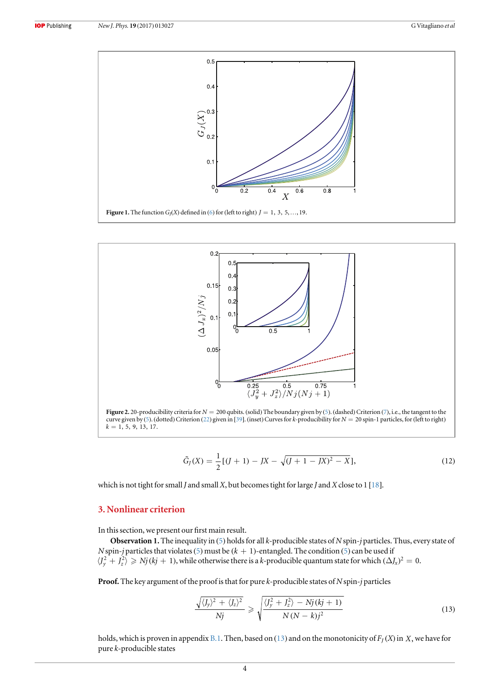<span id="page-4-1"></span>

<span id="page-4-2"></span>

$$
\tilde{G}_J(X) = \frac{1}{2} [(J+1) - JX - \sqrt{(J+1-JX)^2 - X}], \tag{12}
$$

which is not tight for small *J* and small *X*, but becomes tight for large *J* and *X* close to 1 [[18](#page-11-8)].

## <span id="page-4-0"></span>3. Nonlinear criterion

In this section, we present our first main result.

**Observation 1.** The inequality in ([5](#page-2-4)) holds for all  $k$ -producible states of  $N$  spin-j particles. Thus, every state of N spin-j particles that violates ([5](#page-2-4)) must be  $(k + 1)$ -entangled. The condition (5) can be used if  $\langle J_v^2 + J_z^2 \rangle \ge N_j (kj + 1)$ , while otherwise there is a k-producible quantum state for which  $(\Delta J_x)^2 = 0$ .

<span id="page-4-3"></span>**Proof.** The key argument of the proof is that for pure  $k$ -producible states of  $N$  spin-j particles

$$
\frac{\sqrt{\langle J_y \rangle^2 + \langle J_z \rangle^2}}{Nj} \geqslant \sqrt{\frac{\langle J_y^2 + J_z^2 \rangle - Nj \left(kj+1\right)}{N \left(N-k\right) j^2}}
$$
\n(13)

<span id="page-4-4"></span>holds, which is proven in appendix [B.1](#page-9-0). Then, based on ([13](#page-4-3)) and on the monotonicity of  $F_I(X)$  in *X*, we have for pure k-producible states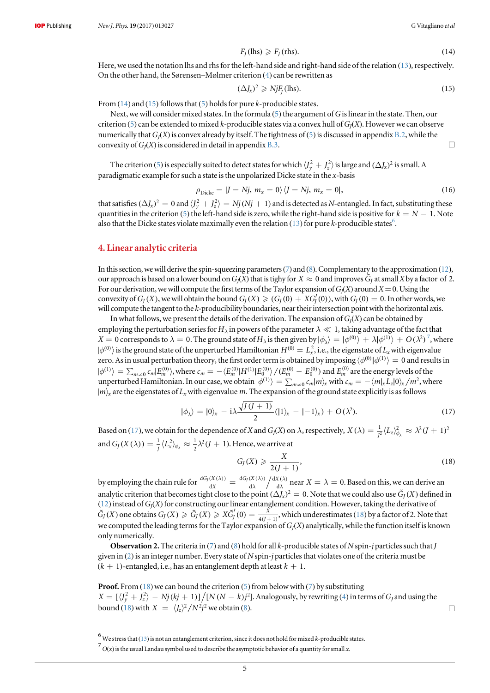$$
F_J(\text{llhs}) \geqslant F_J(\text{rhs}).\tag{14}
$$

<span id="page-5-1"></span>Here, we used the notation lhs and rhs for the left-hand side and right-hand side of the relation ([13](#page-4-3)), respectively. On the other hand, the Sørensen–Mølmer criterion ([4](#page-2-0)) can be rewritten as

$$
(\Delta J_x)^2 \ge NjF_J(\text{llhs}).\tag{15}
$$

From  $(14)$  $(14)$  $(14)$  and  $(15)$  $(15)$  $(15)$  follows that  $(5)$  $(5)$  $(5)$  holds for pure k-producible states.

Next, we will consider mixed states. In the formula ([5](#page-2-4)) the argument of G is linear in the state. Then, our criterion ([5](#page-2-4)) can be extended to mixed k-producible states via a convex hull of  $G_I(X)$ . However we can observe numerically that  $G_l(X)$  is convex already by itself. The tightness of ([5](#page-2-4)) is discussed in appendix [B.2](#page-9-1), while the convexity of  $G_I(X)$  is considered in detail in appendix [B.3.](#page-10-2)  $\Box$ 

<span id="page-5-6"></span>The criterion ([5](#page-2-4)) is especially suited to detect states for which  $\langle J_y^2+J_z^2\rangle$  is large and  $(\Delta J_x)^2$  is small. A paradigmatic example for such a state is the unpolarized Dicke state in the x-basis

$$
\rho_{\text{Dicke}} = |J = Nj, m_x = 0\rangle \langle J = Nj, m_x = 0|,\tag{16}
$$

that satisfies  $(\Delta J_x)^2 = 0$  and  $(J_v^2 + J_z^2) = N_j(N_j + 1)$  and is detected as N-entangled. In fact, substituting these quantities in the criterion ([5](#page-2-4)) the left-hand side is zero, while the right-hand side is positive for  $k = N - 1$ . Note also that the Dicke states violate maximally even the relation ([13](#page-4-3)) for pure k-producible states<sup>6</sup>.

## <span id="page-5-0"></span>4. Linear analytic criteria

In this section, we will derive the spin-squeezing parameters ([7](#page-2-7)) and ([8](#page-2-5)). Complementary to the approximation ([12](#page-3-2)), our approach is based on a lower bound on  $G_J(X)$  that is tighy for  $X \approx 0$  and improves  $\tilde{G}_I$  at small X by a factor of 2. For our derivation, we will compute the first terms of the Taylor expansion of  $G_J(X)$  around  $X=0$ . Using the convexity of  $G_I(X)$ , we will obtain the bound  $G_I(X) \geq (G_I(0) + XG_I'(0))$ , with  $G_I(0) = 0$ . In other words, we will compute the tangent to the  $k$ -producibility boundaries, near their intersection point with the horizontal axis.

In what follows, we present the details of the derivation. The expansion of  $G_I(X)$  can be obtained by employing the perturbation series for  $H_\lambda$  in powers of the parameter  $\lambda \ll 1$ , taking advantage of the fact that  $X=0$  corresponds to  $\lambda=0.$  The ground state of  $H_\lambda$  is then given by  $|\phi_\lambda\rangle=|\phi^{(0)}\rangle+\lambda|\phi^{(1)}\rangle+O(\lambda^2)^7$  $|\phi_\lambda\rangle=|\phi^{(0)}\rangle+\lambda|\phi^{(1)}\rangle+O(\lambda^2)^7$ , where  $|\phi^{(0)}\rangle$  is the ground state of the unperturbed Hamiltonian  $H^{(0)}=L_x^2$ , i.e., the eigenstate of  $L_x$  with eigenvalue zero. As in usual perturbation theory, the first order term is obtained by imposing  $\langle \phi^{(0)} | \phi^{(1)} \rangle = 0$  and results in  $|\phi^{(1)}\rangle=\sum_{m\neq0}\epsilon_m|E_m^{(0)}\rangle$ , where  $\epsilon_m=-\langle E_m^{(0)}|H^{(1)}|E_0^{(0)}\rangle/(E_m^{(0)}-E_0^{(0)})$  and  $E_m^{(0)}$  are the energy levels of the unperturbed Hamiltonian. In our case, we obtain  $|\phi^{(1)}\rangle = \sum_{m\neq 0} c_m |m\rangle_x$  with  $c_m = -\langle m|_x L_z |0\rangle_x / m^2$ , where  $|m\rangle$ <sub>*x*</sub> are the eigenstates of L<sub>x</sub> with eigenvalue *m*. The expansion of the ground state explicitly is as follows

$$
|\phi_{\lambda}\rangle = |0\rangle_{x} - i\lambda \frac{\sqrt{J(J+1)}}{2}(|1\rangle_{x} - |-1\rangle_{x}) + O(\lambda^{2}).
$$
\n(17)

<span id="page-5-5"></span><span id="page-5-4"></span>Based on ([17](#page-5-4)), we obtain for the dependence of X and G<sub>J</sub>(X) on  $\lambda$ , respectively,  $X(\lambda) = \frac{1}{f^2} \langle L_z \rangle_{\phi_\lambda}^2 \approx \lambda^2 (J+1)^2$ and  $G_J(X(\lambda)) = \frac{1}{J} \langle L_x^2 \rangle_{\phi_{\lambda}} \approx \frac{1}{2} \lambda^2 (J+1)$ .  $\frac{1}{2}\lambda^2 (J + 1)$ . Hence, we arrive at

$$
G_J(X) \geqslant \frac{X}{2(J+1)},\tag{18}
$$

by employing the chain rule for  $\frac{dG_f(X(\lambda))}{dX} = \frac{dG_f(X(\lambda))}{d\lambda} \left/ \frac{dX(\lambda)}{d\lambda} \right.$ *l l G X X*  $dG_J(X(\lambda)) = dG_J(X(\lambda)) / dX$ d d d d  $\frac{dJ(X(\lambda))}{dX} = \frac{dG_J(X(\lambda))}{d\lambda} \frac{dX(\lambda)}{d\lambda}$  near  $X = \lambda = 0$ . Based on this, we can derive an analytic criterion that becomes tight close to the point  $(\Delta J_x)^2 = 0$ . Note that we could also use  $\tilde{G}_J(X)$  defined in ([12](#page-3-2)) instead of  $G_J(X)$  for constructing our linear entanglement condition. However, taking the derivative of  $\tilde{G}_J(X)$  one obtains  $G_J(X) \geq \tilde{G}_J(X) \geq X \tilde{G}'_J(0) = \frac{X}{4(J+1)}$ , which underestimates ([18](#page-5-5)) by a factor of 2. Note that we computed the leading terms for the Taylor expansion of  $G_J(X)$  analytically, while the function itself is known only numerically.

**Observation 2.** The criteria in ([7](#page-2-7)) and ([8](#page-2-5)) hold for all k-producible states of N spin-j particles such that J given in  $(2)$  $(2)$  $(2)$  is an integer number. Every state of N spin-j particles that violates one of the criteria must be  $(k + 1)$ -entangled, i.e., has an entanglement depth at least  $k + 1$ .

**Proof.** From  $(18)$  $(18)$  $(18)$  we can bound the criterion  $(5)$  $(5)$  $(5)$  from below with  $(7)$  $(7)$  $(7)$  by substituting  $X = \left[\sqrt{J_v^2 + J_z^2} - N_j(kj + 1)\right] / [N(N - k)j^2]$ . Analogously, by rewriting ([4](#page-2-0)) in terms of  $G_j$  and using the bound ([18](#page-5-5)) with  $X = \langle J_z \rangle^2 / N^2 j^2$  we obtain ([8](#page-2-5)).

<span id="page-5-2"></span> $^6$  We stress that ([13](#page-4-3)) is not an entanglement criterion, since it does not hold for mixed *k*-producible states.<br>7 O(x) is the usual Landay quark also added describe the commutation behavior of a quantity for small usua

<span id="page-5-3"></span> $\sigma^7$  O(x) is the usual Landau symbol used to describe the asymptotic behavior of a quantity for small x.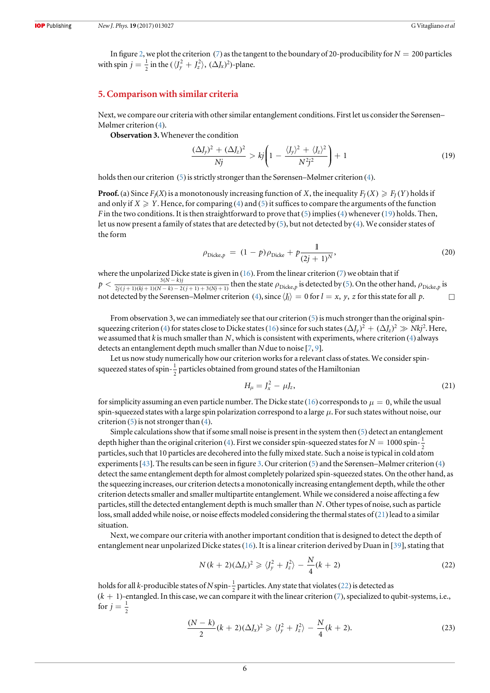In figure [2,](#page-4-2) we plot the criterion ([7](#page-2-7)) as the tangent to the boundary of 20-producibility for  $N = 200$  particles with spin  $j = \frac{1}{2}$  in the  $(\langle J_y^2 + J_z^2 \rangle, (\Delta J_x)^2)$ -plane.

## <span id="page-6-0"></span>5. Comparison with similar criteria

Next, we compare our criteria with other similar entanglement conditions. First let us consider the Sørensen– Mølmer criterion ([4](#page-2-0)).

<span id="page-6-2"></span>Observation 3. Whenever the condition

$$
\frac{(\Delta J_y)^2 + (\Delta J_z)^2}{Nj} > kj \left( 1 - \frac{\langle J_y \rangle^2 + \langle J_z \rangle^2}{N^2 j^2} \right) + 1 \tag{19}
$$

holds then our criterion ([5](#page-2-4)) is strictly stronger than the Sørensen–Mølmer criterion ([4](#page-2-0)).

**Proof.** (a) Since  $F_I(X)$  is a monotonously increasing function of *X*, the inequality  $F_I(X) \geq F_I(Y)$  holds if and only if  $X \geq Y$ . Hence, for comparing ([4](#page-2-0)) and ([5](#page-2-4)) it suffices to compare the arguments of the function F in the two conditions. It is then straightforward to prove that  $(5)$  $(5)$  $(5)$  implies ([4](#page-2-0)) whenever ([19](#page-6-2)) holds. Then, let us now present a family of states that are detected by ([5](#page-2-4)), but not detected by ([4](#page-2-0)). We consider states of the form

$$
\rho_{\text{Dicke},p} = (1-p)\rho_{\text{Dicke}} + p\frac{1}{(2j+1)^N},\tag{20}
$$

where the unpolarized Dicke state is given in ([16](#page-5-6)). From the linear criterion ([7](#page-2-7)) we obtain that if  $p < \frac{3(N-k)j}{2j(j+1)(kj+1)(N-k)-2(j+1)+3(Nj+1)}$  then the state  $\rho_{\text{Dicke},p}$  is detected by (5). On the other 3  $\frac{3(N-k)j}{2j(j+1)(kj+1)(N-k)-2(j+1)+3(Nj+1)}$  then the state  $\rho_{\text{Dicke},p}$  is detected by ([5](#page-2-4)). On the other hand,  $\rho_{\text{Dicke},p}$  is not detected by the Sørensen–Mølmer criterion ([4](#page-2-0)), since  $\langle J_l \rangle = 0$  for  $l = x, y, z$  for this state for all p.

From observation 3, we can immediately see that our criterion ([5](#page-2-4)) is much stronger than the original spin-squeezing criterion ([4](#page-2-0)) for states close to Dicke states ([16](#page-5-6)) since for such states  $(\Delta J_v)^2 + (\Delta J_z)^2 \gg Nk^2$ . Here, we assumed that k is much smaller than *N*, which is consistent with experiments, where criterion ([4](#page-2-0)) always detects an entanglement depth much smaller than N due to noise [[7,](#page-11-4) [9](#page-11-27)].

<span id="page-6-3"></span>Let us now study numerically how our criterion works for a relevant class of states. We consider spinsqueezed states of spin- $\frac{1}{2}$  particles obtained from ground states of the Hamiltonian

$$
H_{\mu} = J_x^2 - \mu J_z, \tag{21}
$$

for simplicity assuming an even particle number. The Dicke state ([16](#page-5-6)) corresponds to  $\mu = 0$ , while the usual spin-squeezed states with a large spin polarization correspond to a large  $\mu$ . For such states without noise, our criterion  $(5)$  $(5)$  $(5)$  is not stronger than  $(4)$  $(4)$  $(4)$ .

Simple calculations show that if some small noise is present in the system then ([5](#page-2-4)) detect an entanglement depth higher than the original criterion ([4](#page-2-0)). First we consider spin-squeezed states for  $N = 1000$  spin- $\frac{1}{2}$ particles, such that 10 particles are decohered into the fully mixed state. Such a noise is typical in cold atom experiments[[43](#page-11-28)]. The results can be seen in figure [3.](#page-7-1) Our criterion ([5](#page-2-4)) and the Sørensen–Mølmer criterion ([4](#page-2-0)) detect the same entanglement depth for almost completely polarized spin-squeezed states. On the other hand, as the squeezing increases, our criterion detects a monotonically increasing entanglement depth, while the other criterion detects smaller and smaller multipartite entanglement. While we considered a noise affecting a few particles, still the detected entanglement depth is much smaller than *N*. Other types of noise, such as particle loss, small added while noise, or noise effects modeled considering the thermal states of ([21](#page-6-3)) lead to a similar situation.

<span id="page-6-1"></span>Next, we compare our criteria with another important condition that is designed to detect the depth of entanglement near unpolarized Dicke states([16](#page-5-6)). It is a linear criterion derived by Duan in [[39](#page-11-23)], stating that

$$
N(k+2)(\Delta J_x)^2 \geq \langle J_y^2 + J_z^2 \rangle - \frac{N}{4}(k+2)
$$
\n(22)

<span id="page-6-4"></span>holds for all *k*-producible states of N spin- $\frac{1}{2}$  particles. Any state that violates ([22](#page-6-1)) is detected as  $(k + 1)$ -entangled. In this case, we can compare it with the linear criterion  $(7)$  $(7)$  $(7)$ , specialized to qubit-systems, i.e., for  $j = \frac{1}{2}$ 

$$
\frac{(N-k)}{2}(k+2)(\Delta J_x)^2 \geq \langle J_y^2 + J_z^2 \rangle - \frac{N}{4}(k+2). \tag{23}
$$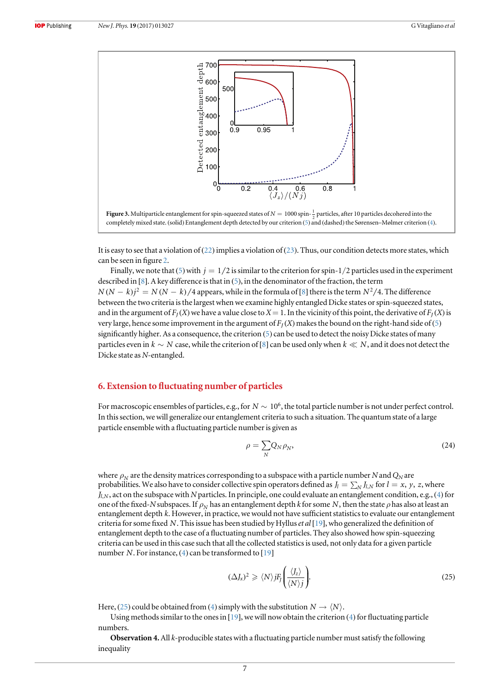<span id="page-7-1"></span>



It is easy to see that a violation of ([22](#page-6-1)) implies a violation of ([23](#page-6-4)). Thus, our condition detects more states, which can be seen in figure [2](#page-4-2).

Finally, we note that ([5](#page-2-4)) with  $j = 1/2$  is similar to the criterion for spin-1/2 particles used in the experiment described in [[8](#page-11-18)]. A key difference is that in ([5](#page-2-4)), in the denominator of the fraction, the term  $N(N-k)$ <sup>2</sup> =  $N(N-k)/4$  appears, while in the formula of [[8](#page-11-18)] there is the term  $N^2/4$ . The difference between the two criteria is the largest when we examine highly entangled Dicke states or spin-squeezed states, and in the argument of  $F_I(X)$  we have a value close to  $X = 1$ . In the vicinity of this point, the derivative of  $F_I(X)$  is very large, hence some improvement in the argument of  $F_I(X)$  makes the bound on the right-hand side of ([5](#page-2-4)) significantly higher. As a consequence, the criterion ([5](#page-2-4)) can be used to detect the noisy Dicke states of many particles even in  $k \sim N$  case, while the criterion of [[8](#page-11-18)] can be used only when  $k \ll N$ , and it does not detect the Dicke state as N-entangled.

## <span id="page-7-0"></span>6. Extension to fluctuating number of particles

<span id="page-7-3"></span>For macroscopic ensembles of particles, e.g., for  $N \sim 10^6$ , the total particle number is not under perfect control. In this section, we will generalize our entanglement criteria to such a situation. The quantum state of a large particle ensemble with a fluctuating particle number is given as

$$
\rho = \sum_{N} Q_N \rho_N,\tag{24}
$$

where  $\rho<sub>N</sub>$  are the density matrices corresponding to a subspace with a particle number N and  $Q<sub>N</sub>$  are probabilities. We also have to consider collective spin operators defined as  $J_l = \sum_N J_{l,N}$  for  $l = x, y, z$ , where *J*<sub>l,N</sub>, act on the subspace with N particles. In principle, one could evaluate an entanglement condition, e.g., ([4](#page-2-0)) for one of the fixed-N subspaces. If  $\rho_N$  has an entanglement depth k for some N, then the state  $\rho$  has also at least an entanglement depth *k*. However, in practice, we would not have sufficient statistics to evaluate our entanglement criteria for some fixed *N*. This issue has been studied by Hylluset al [[19](#page-11-9)], who generalized the definition of entanglement depth to the case of a fluctuating number of particles. They also showed how spin-squeezing criteria can be used in this case such that all the collected statistics is used, not only data for a given particle number *N*. For instance, ([4](#page-2-0)) can be transformed to [[19](#page-11-9)]

$$
(\Delta J_x)^2 \geq \langle N \rangle j F_J \left( \frac{\langle J_z \rangle}{\langle N \rangle j} \right).
$$
 (25)

<span id="page-7-2"></span>Here, ([25](#page-7-2)) could be obtained from ([4](#page-2-0)) simply with the substitution  $N \rightarrow \langle N \rangle$ .

Using methods similar to the ones in  $[19]$  $[19]$  $[19]$ , we will now obtain the criterion  $(4)$  $(4)$  $(4)$  for fluctuating particle numbers.

**Observation 4.** All  $k$ -producible states with a fluctuating particle number must satisfy the following inequality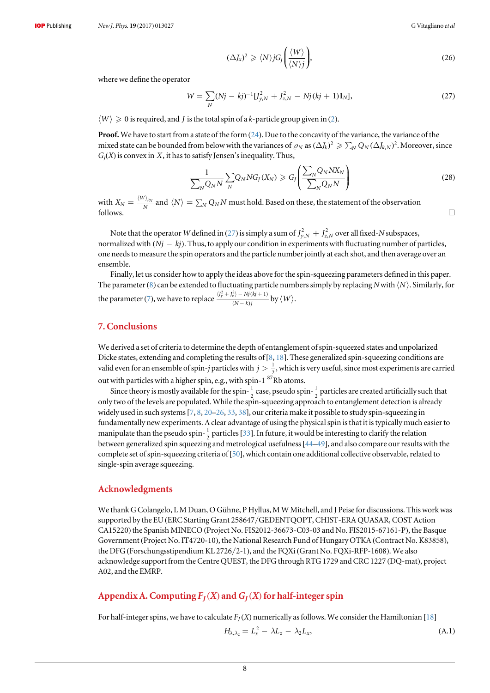$$
(\Delta J_x)^2 \geqslant \langle N \rangle j G_j \bigg( \frac{\langle W \rangle}{\langle N \rangle j} \bigg),\tag{26}
$$

<span id="page-8-1"></span>where we define the operator

$$
W = \sum_{N} (Nj - kj)^{-1} [J_{y,N}^{2} + J_{z,N}^{2} - Nj(kj + 1)1_{N}],
$$
\n(27)

#### $\langle W \rangle \geq 0$  is required, and *J* is the total spin of a k-particle group given in ([2](#page-2-3)).

Proof. We have to start from a state of the form ([24](#page-7-3)). Due to the concavity of the variance, the variance of the mixed state can be bounded from below with the variances of  $\rho_N$  as  $(\Delta J_k)^2 \geq \sum_N Q_N (\Delta J_{k,N})^2$ . Moreover, since  $G_J(X)$  is convex in  $X$ , it has to satisfy Jensen's inequality. Thus,

$$
\frac{1}{\sum_{N} Q_{N} N} \sum_{N} Q_{N} N G_{J}(X_{N}) \geq G_{J} \left( \frac{\sum_{N} Q_{N} N X_{N}}{\sum_{N} Q_{N} N} \right)
$$
(28)

with  $X_N = \frac{\langle W \rangle_\rho}{N}$  $\frac{N}{N}$  and  $\langle N \rangle = \sum_N Q_N N$  must hold. Based on these, the statement of the observation follows.  $\Box$ 

Note that the operator W defined in ([27](#page-8-1)) is simply a sum of  $J_{y,N}^2 + J_{z,N}^2$  over all fixed-N subspaces, normalized with  $(Nj - kj)$ . Thus, to apply our condition in experiments with fluctuating number of particles, one needs to measure the spin operators and the particle number jointly at each shot, and then average over an ensemble.

Finally, let us consider how to apply the ideas above for the spin-squeezing parameters defined in this paper. The parameter ([8](#page-2-5)) can be extended to fluctuating particle numbers simply by replacing N with  $\langle N \rangle$ . Similarly, for the parameter ([7](#page-2-7)), we have to replace  $\frac{\langle J_y^2 + J_z^2 \rangle - Nj(kj+1)}{(N-k)j}$  $\langle J_v^2 + J_z^2 \rangle - Nj(kj +$ -  $|J_v^2 + J_z^2\rangle - Nj$  (kj  $(N-k)$ *j*  $\frac{\partial^2 y}{\partial y^2} + J_z^2 \rangle - Nj(kj+1) \over (N-k)i$ 

## 7. Conclusions

We derived a set of criteria to determine the depth of entanglement of spin-squeezed states and unpolarized Dicke states, extending and completing the results of [[8](#page-11-18), [18](#page-11-8)]. These generalized spin-squeezing conditions are valid even for an ensemble of spin-*j* particles with  $j > \frac{1}{2}$ , which is very useful, since most experiments are carried out with particles with a higher spin, e.g., with spin-1  ${}^{87} \rm \widetilde{R}b$  atoms.

Since theory is mostly available for the spin- $\frac{1}{2}$  case, pseudo spin- $\frac{1}{2}$  particles are created artificially such that only two of the levels are populated. While the spin-squeezing approach to entanglement detection is already widely used in such systems [[7](#page-11-4), [8](#page-11-18), [20](#page-11-10)–[26](#page-11-11), [33,](#page-11-29) [38](#page-11-22)], our criteria make it possible to study spin-squeezing in fundamentally new experiments. A clear advantage of using the physical spin is that it is typically much easier to manipulate than the pseudo spin- $\frac{1}{2}$  particles [[33](#page-11-29)]. In future, it would be interesting to clarify the relation between generalized spin squeezing and metrological usefulness[[44](#page-11-30)–[49](#page-11-31)], and also compare our results with the complete set of spin-squeezing criteria of[[50](#page-11-32)], which contain one additional collective observable, related to single-spin average squeezing.

### Acknowledgments

We thank G Colangelo, L M Duan, O Gühne, P Hyllus, M W Mitchell, and J Peise for discussions. This work was supported by the EU (ERC Starting Grant 258647/GEDENTQOPT, CHIST-ERA QUASAR, COST Action CA15220) the Spanish MINECO (Project No. FIS2012-36673-C03-03 and No. FIS2015-67161-P), the Basque Government (Project No. IT4720-10), the National Research Fund of Hungary OTKA (Contract No. K83858), the DFG(Forschungsstipendium KL 2726/2-1), and the FQXi (Grant No. FQXi-RFP-1608). We also acknowledge support from the Centre QUEST, the DFG through RTG 1729 and CRC 1227 (DQ-mat), project A02, and the EMRP.

## <span id="page-8-0"></span>Appendix A. Computing  $F_I(X)$  and  $G_I(X)$  for half-integer spin

For half-integer spins, we have to calculate  $F_I(X)$  numerically as follows. We consider the Hamiltonian [[18](#page-11-8)]

$$
H_{\lambda,\lambda_2} = L_x^2 - \lambda L_z - \lambda_2 L_x,\tag{A.1}
$$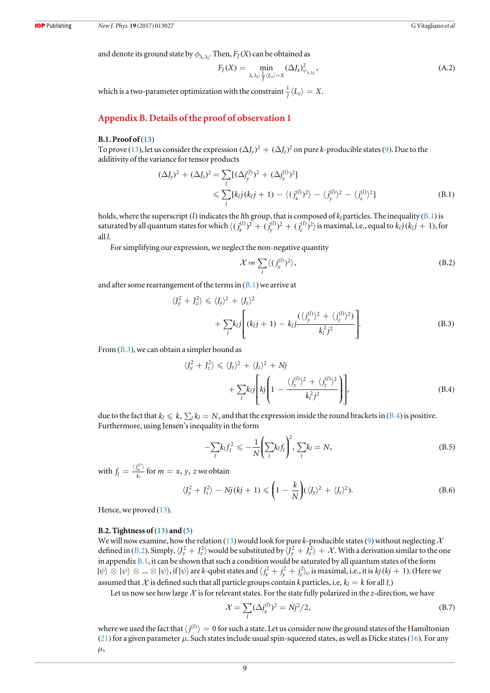and denote its ground state by  $\phi_{\lambda,\lambda}$ . Then,  $F_J(X)$  can be obtained as

$$
F_J(X) = \min_{\lambda, \lambda_2: \frac{1}{J} \langle L_z \rangle = X} (\Delta J_x)_{\psi_{\lambda, \lambda_2}}^2,
$$
\n(A.2)

which is a two-parameter optimization with the constraint  $\frac{1}{I} \langle L_z \rangle = X$ .

## Appendix B. Details of the proof of observation 1

## <span id="page-9-0"></span>B.1. Proof of ([13](#page-4-3))

<span id="page-9-2"></span>To prove ([13](#page-4-3)), let us consider the expression  $(\Delta J_v)^2 + (\Delta J_z)^2$  on pure k-producible states ([9](#page-3-3)). Due to the additivity of the variance for tensor products

$$
(\Delta J_y)^2 + (\Delta J_z)^2 = \sum_l [(\Delta j_y^{(l)})^2 + (\Delta j_z^{(l)})^2] \n\leq \sum_l [k_l j (k_l j + 1) - \langle (j_x^{(l)})^2 \rangle - \langle j_y^{(l)} \rangle^2 - \langle j_z^{(l)} \rangle^2]
$$
\n(B.1)

holds, where the superscript (*l*) indicates the *l*th group, that is composed of  $k_l$  particles. The inequality ([B.1](#page-9-2)) is saturated by all quantum states for which  $\langle (j_x^{(l)})^2+(j_y^{(l)})^2+(j_z^{(l)})^2\rangle$  is maximal, i.e., equal to  $k_lj(k_lj+1)$ , for all l.

<span id="page-9-5"></span>For simplifying our expression, we neglect the non-negative quantity

$$
\mathcal{X} := \sum_{l} \langle (j_x^{(l)})^2 \rangle, \tag{B.2}
$$

<span id="page-9-3"></span>and after some rearrangement of the terms in  $(B.1)$  $(B.1)$  $(B.1)$  we arrive at

$$
\langle J_y^2 + J_z^2 \rangle \le \langle J_y \rangle^2 + \langle J_z \rangle^2
$$
  
+ 
$$
\sum_l k_l j \left[ (k_l j + 1) - k_l j \frac{(\langle j_y^{(l)} \rangle^2 + \langle j_z^{(l)} \rangle^2)}{k_l^2 j^2} \right].
$$
 (B.3)

<span id="page-9-4"></span>From ([B.3](#page-9-3)), we can obtain a simpler bound as

$$
\langle J_y^2 + J_z^2 \rangle \le \langle J_y \rangle^2 + \langle J_z \rangle^2 + Nj
$$
  
+ 
$$
\sum_l k_l j \left[ k j \left( 1 - \frac{\langle j_y^{(l)} \rangle^2 + \langle j_z^{(l)} \rangle^2}{k_l^2 j^2} \right) \right],
$$
 (B.4)

due to the fact that  $k_l \leq k$ ,  $\sum_l k_l = N$ , and that the expression inside the round brackets in ([B.4](#page-9-4)) is positive. Furthermore, using Jensen's inequality in the form

$$
-\sum_{l}k_{l}f_{l}^{2} \leqslant -\frac{1}{N}\left(\sum_{l}k_{l}f_{l}\right)^{2}, \sum_{l}k_{l} = N,
$$
\n(B.5)

with  $f_l = \frac{\langle j_m^{(l)} \rangle}{k_l}$ *j k m l*  $\frac{d}{dx}$  for  $m = x, y, z$  we obtain

$$
\langle J_y^2 + J_z^2 \rangle - Nj(kj+1) \leqslant \left(1 - \frac{k}{N}\right) (\langle J_y \rangle^2 + \langle J_z \rangle^2).
$$
 (B.6)

Hence, we proved ([13](#page-4-3)).

#### <span id="page-9-1"></span>B.2. Tightness of  $(13)$  $(13)$  $(13)$  and  $(5)$  $(5)$  $(5)$

We will now examine, how the relation ([13](#page-4-3)) would look for pure k-producible states ([9](#page-3-3)) without neglecting  $\mathcal X$ defined in ([B.2](#page-9-5)). Simply,  $\langle J_y^2 + J_z^2 \rangle$  would be substituted by  $\bar{J}_y^2 + \bar{J}_z^2 \rangle + X$ . With a derivation similar to the one in appendix  $B.1$ , it can be shown that such a condition would be saturated by all quantum states of the form  $|\psi\rangle ⊗ |\psi\rangle ⊗ ... ⊗ |\psi\rangle$ , if  $|\psi\rangle$  are *k*-qubit states and  $\langle j_x^2 + j_y^2 + j_z^2 \rangle_{\psi}$  is maximal, i.e., it is *kj* (*kj* + 1). (Here we assumed that X is defined such that all particle groups contain k particles, i.e,  $k_l = k$  for all *l*.)

Let us now see how large  $\mathcal X$  is for relevant states. For the state fully polarized in the z-direction, we have

$$
\mathcal{X} = \sum_{l} (\Delta j_x^{(l)})^2 = Nj^2/2,
$$
\n(B.7)

<span id="page-9-6"></span>where we used the fact that  $\langle j^{(l)} \rangle = 0$  for such a state. Let us consider now the ground states of the Hamiltonian ([21](#page-6-3)) for a given parameter  $\mu$ . Such states include usual spin-squeezed states, as well as Dicke states ([16](#page-5-6)). For any  $\mu$ ,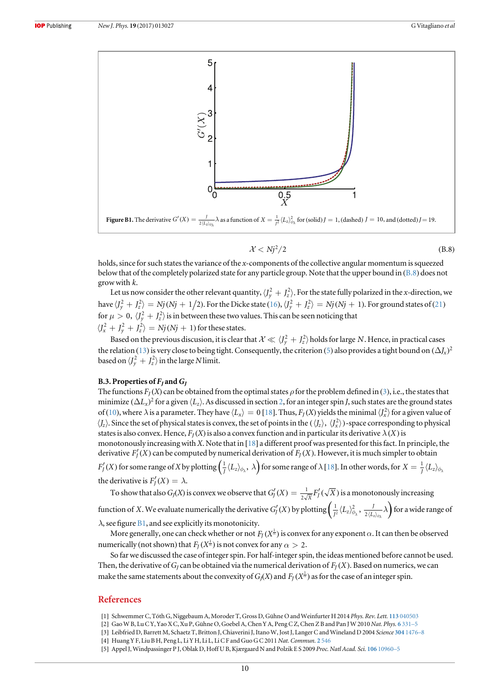<span id="page-10-3"></span>

$$
\mathcal{X} < Nj^2/2 \tag{B.8}
$$

holds, since for such states the variance of the x-components of the collective angular momentum is squeezed below that of the completely polarized state for any particle group. Note that the upper bound in ([B.8](#page-9-6)) does not grow with *k*.

Let us now consider the other relevant quantity,  $\langle J_y^2 + J_z^2 \rangle$ . For the state fully polarized in the x-direction, we have  $\langle J_y^2+J_z^2\rangle=Nj(Nj+1/2).$  For the Dicke state ([16](#page-5-6)),  $\langle J_y^2+J_z^2\rangle=Nj(Nj+1).$  For ground states of ([21](#page-6-3)) for  $\mu > 0, \, \langle J_y^2 + J_z^2 \rangle$  is in between these two values. This can be seen noticing that  $\langle J_x^2 + J_y^2 + J_z^2 \rangle = Nj(Nj + 1)$  for these states.

Based on the previous discusion, it is clear that  $X \ll \langle J_y^2 + J_z^2 \rangle$  holds for large *N*. Hence, in practical cases the relation ([13](#page-4-3)) is very close to being tight. Consequently, the criterion ([5](#page-2-4)) also provides a tight bound on  $(\Delta J_x)^2$ based on  $\langle J_y^2 + J_z^2 \rangle$  in the large N limit.

## <span id="page-10-2"></span>B.3. Properties of  $F_J$  and  $G_J$

The functions  $F_I(X)$  can be obtained from the optimal states  $\rho$  for the problem defined in ([3](#page-2-2)), i.e., the states that minimize  $(\Delta L_x)^2$  for a given  $\langle L_z \rangle$ . As discussed in section [2,](#page-3-0) for an integer spin J, such states are the ground states of ([10](#page-3-1)), where  $\lambda$  is a parameter. They have  $\langle L_x \rangle = 0$  [[18](#page-11-8)]. Thus,  $F_J(X)$  yields the minimal  $\langle J_x^2 \rangle$  for a given value of  $\langle J_z\rangle$ . Since the set of physical states is convex, the set of points in the  $(\langle J_z\rangle, \langle J_x^2\rangle)$ -space corresponding to physical states is also convex. Hence,  $F_I(X)$  is also a convex function and in particular its derivative  $\lambda(X)$  is monotonously increasing with X. Note that in  $[18]$  $[18]$  $[18]$  a different proof was presented for this fact. In principle, the derivative  $F'_{J}(X)$  can be computed by numerical derivation of  $F_{J}(X)$ . However, it is much simpler to obtain  $F'_J(X)$  for some range of X by plotting  $\left(\frac{1}{J}\langle L_z\rangle_{\phi_{\lambda}}, \ \lambda\right)$  for some range of  $\lambda$  [[18](#page-11-8)]. In other words, for  $X=\frac{1}{J}\langle L_z\rangle_{\phi_{\lambda}}$ the derivative is  $F'_{I}(X) = \lambda$ .

To show that also  $G_j(X)$  is convex we observe that  $G'_J(X) = \frac{1}{2\sqrt{X}}F'_J(\sqrt{X})$  is a monotonously increasing function of *X*. We evaluate numerically the derivative  $G'_f(X)$  by plotting  $\left(\frac{1}{f^2}\langle L_z\rangle^2_{\phi_\lambda},\, \frac{1}{2\langle L_z\rangle_{\phi_\lambda}}\lambda\right)$  $\frac{1}{J^2}\langle L_z\rangle_{\phi_{\lambda}}^2$  ,  $\frac{J}{2\langle L_z\rangle_{\phi_{\lambda}}} \lambda\bigg)$  for a wide range of

 $\lambda$ , see figure [B1](#page-10-3), and see explicitly its monotonicity.

More generally, one can check whether or not  $F_I(X^{\frac{1}{\alpha}})$  is convex for any exponent  $\alpha.$  It can then be observed numerically (not shown) that  $F_J(X^{\frac{1}{\alpha}})$  is not convex for any  $\alpha > 2.$ 

So far we discussed the case of integer spin. For half-integer spin, the ideas mentioned before cannot be used. Then, the derivative of  $G<sub>I</sub>$  can be obtained via the numerical derivation of  $F<sub>I</sub>(X)$ . Based on numerics, we can make the same statements about the convexity of  $G_J(X)$  and  $F_J(X^{\frac{1}{\alpha}})$  as for the case of an integer spin.

## References

- <span id="page-10-0"></span>[1] Schwemmer C, Tóth G, Niggebaum A, Moroder T, Gross D, Gühne O and Weinfurter H 2014 Phys. Rev. Lett. 113 [040503](https://doi.org/10.1103/PhysRevLett.113.040503)
- [2] Gao W B, Lu C Y, Yao X C, Xu P, Gühne O, Goebel A, Chen Y A, Peng C Z, Chen Z B and Pan J W 2010 Nat. Phys. 6 [331](https://doi.org/10.1038/nphys1603)–5
- [3] Leibfried D, Barrett M, Schaetz T, Britton J, Chiaverini J, Itano W, Jost J, Langer C and Wineland D 2004 Science 304 [1476](https://doi.org/10.1126/science.1097576)-8
- [4] Huang Y F, Liu B H, Peng L, Li Y H, Li L, Li C F and Guo G C 2011 Nat. Commun. 2 [546](https://doi.org/10.1038/ncomms1556)
- <span id="page-10-1"></span>[5] Appel J, Windpassinger P J, Oblak D, Hoff U B, Kjærgaard N and Polzik E S 2009 Proc. Natl Acad. Sci. 106 [10960](https://doi.org/10.1073/pnas.0901550106)–5